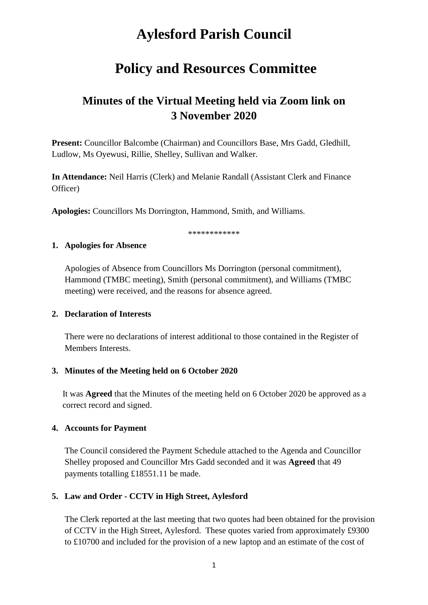# **Aylesford Parish Council**

## **Policy and Resources Committee**

## **Minutes of the Virtual Meeting held via Zoom link on 3 November 2020**

**Present:** Councillor Balcombe (Chairman) and Councillors Base, Mrs Gadd, Gledhill, Ludlow, Ms Oyewusi, Rillie, Shelley, Sullivan and Walker.

**In Attendance:** Neil Harris (Clerk) and Melanie Randall (Assistant Clerk and Finance Officer)

**Apologies:** Councillors Ms Dorrington, Hammond, Smith, and Williams.

\*\*\*\*\*\*\*\*\*\*\*

#### **1. Apologies for Absence**

Apologies of Absence from Councillors Ms Dorrington (personal commitment), Hammond (TMBC meeting), Smith (personal commitment), and Williams (TMBC meeting) were received, and the reasons for absence agreed.

#### **2. Declaration of Interests**

There were no declarations of interest additional to those contained in the Register of Members Interests.

#### **3. Minutes of the Meeting held on 6 October 2020**

It was **Agreed** that the Minutes of the meeting held on 6 October 2020 be approved as a correct record and signed.

#### **4. Accounts for Payment**

The Council considered the Payment Schedule attached to the Agenda and Councillor Shelley proposed and Councillor Mrs Gadd seconded and it was **Agreed** that 49 payments totalling £18551.11 be made.

## **5. Law and Order - CCTV in High Street, Aylesford**

The Clerk reported at the last meeting that two quotes had been obtained for the provision of CCTV in the High Street, Aylesford. These quotes varied from approximately £9300 to £10700 and included for the provision of a new laptop and an estimate of the cost of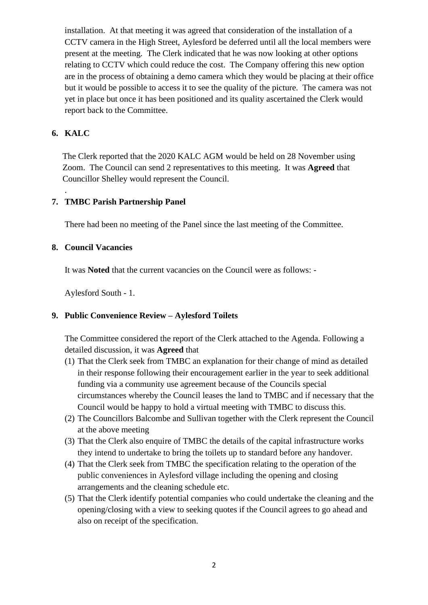installation. At that meeting it was agreed that consideration of the installation of a CCTV camera in the High Street, Aylesford be deferred until all the local members were present at the meeting. The Clerk indicated that he was now looking at other options relating to CCTV which could reduce the cost. The Company offering this new option are in the process of obtaining a demo camera which they would be placing at their office but it would be possible to access it to see the quality of the picture. The camera was not yet in place but once it has been positioned and its quality ascertained the Clerk would report back to the Committee.

## **6. KALC**

.

The Clerk reported that the 2020 KALC AGM would be held on 28 November using Zoom. The Council can send 2 representatives to this meeting. It was **Agreed** that Councillor Shelley would represent the Council.

## **7. TMBC Parish Partnership Panel**

There had been no meeting of the Panel since the last meeting of the Committee.

#### **8. Council Vacancies**

It was **Noted** that the current vacancies on the Council were as follows: -

Aylesford South - 1.

## **9. Public Convenience Review – Aylesford Toilets**

The Committee considered the report of the Clerk attached to the Agenda. Following a detailed discussion, it was **Agreed** that

- (1) That the Clerk seek from TMBC an explanation for their change of mind as detailed in their response following their encouragement earlier in the year to seek additional funding via a community use agreement because of the Councils special circumstances whereby the Council leases the land to TMBC and if necessary that the Council would be happy to hold a virtual meeting with TMBC to discuss this.
- (2) The Councillors Balcombe and Sullivan together with the Clerk represent the Council at the above meeting
- (3) That the Clerk also enquire of TMBC the details of the capital infrastructure works they intend to undertake to bring the toilets up to standard before any handover.
- (4) That the Clerk seek from TMBC the specification relating to the operation of the public conveniences in Aylesford village including the opening and closing arrangements and the cleaning schedule etc.
- (5) That the Clerk identify potential companies who could undertake the cleaning and the opening/closing with a view to seeking quotes if the Council agrees to go ahead and also on receipt of the specification.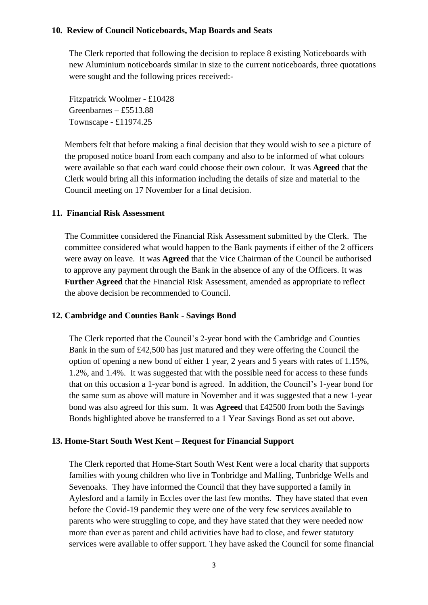#### **10. Review of Council Noticeboards, Map Boards and Seats**

The Clerk reported that following the decision to replace 8 existing Noticeboards with new Aluminium noticeboards similar in size to the current noticeboards, three quotations were sought and the following prices received:-

Fitzpatrick Woolmer - £10428 Greenbarnes – £5513.88 Townscape - £11974.25

Members felt that before making a final decision that they would wish to see a picture of the proposed notice board from each company and also to be informed of what colours were available so that each ward could choose their own colour. It was **Agreed** that the Clerk would bring all this information including the details of size and material to the Council meeting on 17 November for a final decision.

#### **11. Financial Risk Assessment**

The Committee considered the Financial Risk Assessment submitted by the Clerk. The committee considered what would happen to the Bank payments if either of the 2 officers were away on leave. It was **Agreed** that the Vice Chairman of the Council be authorised to approve any payment through the Bank in the absence of any of the Officers. It was **Further Agreed** that the Financial Risk Assessment, amended as appropriate to reflect the above decision be recommended to Council.

#### **12. Cambridge and Counties Bank - Savings Bond**

The Clerk reported that the Council's 2-year bond with the Cambridge and Counties Bank in the sum of £42,500 has just matured and they were offering the Council the option of opening a new bond of either 1 year, 2 years and 5 years with rates of 1.15%, 1.2%, and 1.4%. It was suggested that with the possible need for access to these funds that on this occasion a 1-year bond is agreed. In addition, the Council's 1-year bond for the same sum as above will mature in November and it was suggested that a new 1-year bond was also agreed for this sum. It was **Agreed** that £42500 from both the Savings Bonds highlighted above be transferred to a 1 Year Savings Bond as set out above.

#### **13. Home-Start South West Kent – Request for Financial Support**

The Clerk reported that Home-Start South West Kent were a local charity that supports families with young children who live in Tonbridge and Malling, Tunbridge Wells and Sevenoaks. They have informed the Council that they have supported a family in Aylesford and a family in Eccles over the last few months. They have stated that even before the Covid-19 pandemic they were one of the very few services available to parents who were struggling to cope, and they have stated that they were needed now more than ever as parent and child activities have had to close, and fewer statutory services were available to offer support. They have asked the Council for some financial